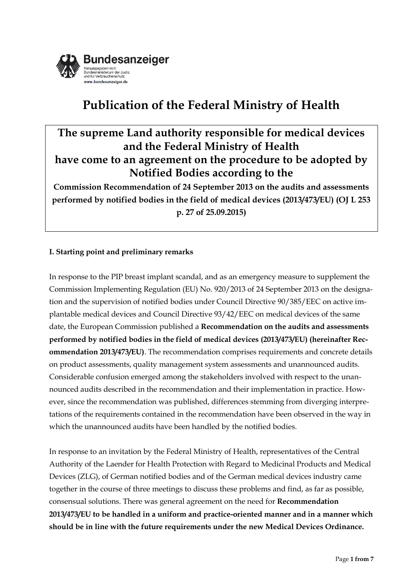

# **Publication of the Federal Ministry of Health**

## **The supreme Land authority responsible for medical devices and the Federal Ministry of Health have come to an agreement on the procedure to be adopted by Notified Bodies according to the**

**Commission Recommendation of 24 September 2013 on the audits and assessments performed by notified bodies in the field of medical devices (2013/473/EU) (OJ L 253 p. 27 of 25.09.2015)**

## **I. Starting point and preliminary remarks**

In response to the PIP breast implant scandal, and as an emergency measure to supplement the Commission Implementing Regulation (EU) No. 920/2013 of 24 September 2013 on the designation and the supervision of notified bodies under Council Directive 90/385/EEC on active implantable medical devices and Council Directive 93/42/EEC on medical devices of the same date, the European Commission published a **Recommendation on the audits and assessments performed by notified bodies in the field of medical devices (2013/473/EU) (hereinafter Recommendation 2013/473/EU)**. The recommendation comprises requirements and concrete details on product assessments, quality management system assessments and unannounced audits. Considerable confusion emerged among the stakeholders involved with respect to the unannounced audits described in the recommendation and their implementation in practice. However, since the recommendation was published, differences stemming from diverging interpretations of the requirements contained in the recommendation have been observed in the way in which the unannounced audits have been handled by the notified bodies.

In response to an invitation by the Federal Ministry of Health, representatives of the Central Authority of the Laender for Health Protection with Regard to Medicinal Products and Medical Devices (ZLG), of German notified bodies and of the German medical devices industry came together in the course of three meetings to discuss these problems and find, as far as possible, consensual solutions. There was general agreement on the need for **Recommendation 2013/473/EU to be handled in a uniform and practice-oriented manner and in a manner which should be in line with the future requirements under the new Medical Devices Ordinance.**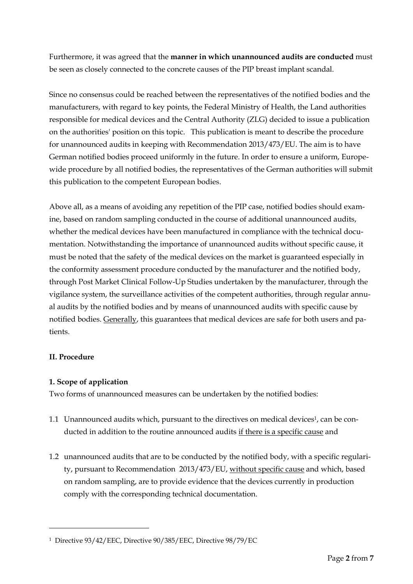Furthermore, it was agreed that the **manner in which unannounced audits are conducted** must be seen as closely connected to the concrete causes of the PIP breast implant scandal.

Since no consensus could be reached between the representatives of the notified bodies and the manufacturers, with regard to key points, the Federal Ministry of Health, the Land authorities responsible for medical devices and the Central Authority (ZLG) decided to issue a publication on the authorities' position on this topic. This publication is meant to describe the procedure for unannounced audits in keeping with Recommendation 2013/473/EU. The aim is to have German notified bodies proceed uniformly in the future. In order to ensure a uniform, Europewide procedure by all notified bodies, the representatives of the German authorities will submit this publication to the competent European bodies.

Above all, as a means of avoiding any repetition of the PIP case, notified bodies should examine, based on random sampling conducted in the course of additional unannounced audits, whether the medical devices have been manufactured in compliance with the technical documentation. Notwithstanding the importance of unannounced audits without specific cause, it must be noted that the safety of the medical devices on the market is guaranteed especially in the conformity assessment procedure conducted by the manufacturer and the notified body, through Post Market Clinical Follow-Up Studies undertaken by the manufacturer, through the vigilance system, the surveillance activities of the competent authorities, through regular annual audits by the notified bodies and by means of unannounced audits with specific cause by notified bodies. Generally, this guarantees that medical devices are safe for both users and patients.

## **II. Procedure**

 $\overline{a}$ 

## **1. Scope of application**

Two forms of unannounced measures can be undertaken by the notified bodies:

- 1.1 Unannounced audits which, pursuant to the directives on medical devices<sup>1</sup>, can be conducted in addition to the routine announced audits if there is a specific cause and
- 1.2 unannounced audits that are to be conducted by the notified body, with a specific regularity, pursuant to Recommendation 2013/473/EU, without specific cause and which, based on random sampling, are to provide evidence that the devices currently in production comply with the corresponding technical documentation.

<sup>1</sup> Directive 93/42/EEC, Directive 90/385/EEC, Directive 98/79/EC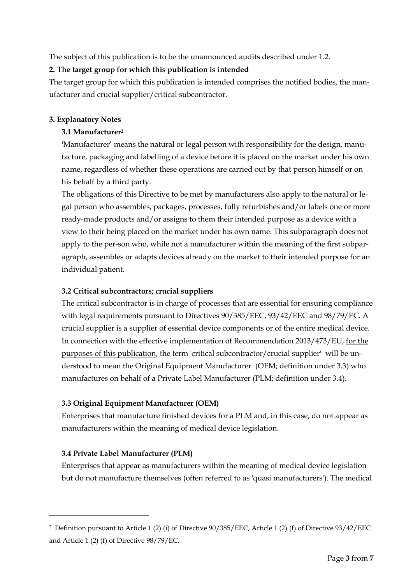The subject of this publication is to be the unannounced audits described under 1.2.

## **2. The target group for which this publication is intended**

The target group for which this publication is intended comprises the notified bodies, the manufacturer and crucial supplier/critical subcontractor.

## **3. Explanatory Notes**

## **3.1 Manufacturer<sup>2</sup>**

'Manufacturer' means the natural or legal person with responsibility for the design, manufacture, packaging and labelling of a device before it is placed on the market under his own name, regardless of whether these operations are carried out by that person himself or on his behalf by a third party.

The obligations of this Directive to be met by manufacturers also apply to the natural or legal person who assembles, packages, processes, fully refurbishes and/or labels one or more ready-made products and/or assigns to them their intended purpose as a device with a view to their being placed on the market under his own name. This subparagraph does not apply to the per-son who, while not a manufacturer within the meaning of the first subparagraph, assembles or adapts devices already on the market to their intended purpose for an individual patient.

## **3.2 Critical subcontractors; crucial suppliers**

The critical subcontractor is in charge of processes that are essential for ensuring compliance with legal requirements pursuant to Directives 90/385/EEC, 93/42/EEC and 98/79/EC. A crucial supplier is a supplier of essential device components or of the entire medical device. In connection with the effective implementation of Recommendation 2013/473/EU, for the purposes of this publication, the term 'critical subcontractor/crucial supplier' will be understood to mean the Original Equipment Manufacturer (OEM; definition under 3.3) who manufactures on behalf of a Private Label Manufacturer (PLM; definition under 3.4).

## **3.3 Original Equipment Manufacturer (OEM)**

Enterprises that manufacture finished devices for a PLM and, in this case, do not appear as manufacturers within the meaning of medical device legislation.

## **3.4 Private Label Manufacturer (PLM)**

 $\overline{a}$ 

Enterprises that appear as manufacturers within the meaning of medical device legislation but do not manufacture themselves (often referred to as 'quasi manufacturers'). The medical

<sup>2</sup> Definition pursuant to Article 1 (2) (i) of Directive 90/385/EEC, Article 1 (2) (f) of Directive 93/42/EEC and Article 1 (2) (f) of Directive 98/79/EC.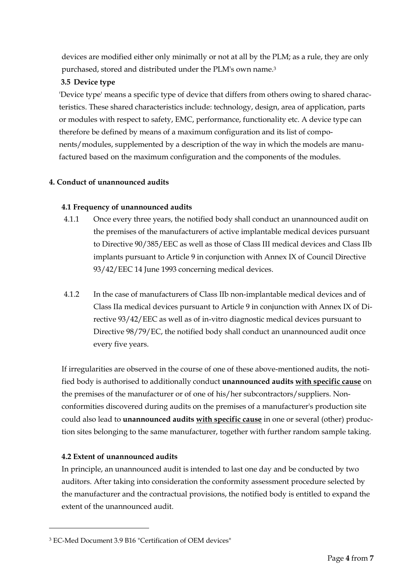devices are modified either only minimally or not at all by the PLM; as a rule, they are only purchased, stored and distributed under the PLM's own name.<sup>3</sup>

## **3.5 Device type**

'Device type' means a specific type of device that differs from others owing to shared characteristics. These shared characteristics include: technology, design, area of application, parts or modules with respect to safety, EMC, performance, functionality etc. A device type can therefore be defined by means of a maximum configuration and its list of components/modules, supplemented by a description of the way in which the models are manufactured based on the maximum configuration and the components of the modules.

## **4. Conduct of unannounced audits**

## **4.1 Frequency of unannounced audits**

- 4.1.1 Once every three years, the notified body shall conduct an unannounced audit on the premises of the manufacturers of active implantable medical devices pursuant to Directive 90/385/EEC as well as those of Class III medical devices and Class IIb implants pursuant to Article 9 in conjunction with Annex IX of Council Directive 93/42/EEC 14 June 1993 concerning medical devices.
- 4.1.2 In the case of manufacturers of Class IIb non-implantable medical devices and of Class IIa medical devices pursuant to Article 9 in conjunction with Annex IX of Directive 93/42/EEC as well as of in-vitro diagnostic medical devices pursuant to Directive 98/79/EC, the notified body shall conduct an unannounced audit once every five years.

If irregularities are observed in the course of one of these above-mentioned audits, the notified body is authorised to additionally conduct **unannounced audits with specific cause** on the premises of the manufacturer or of one of his/her subcontractors/suppliers. Nonconformities discovered during audits on the premises of a manufacturer's production site could also lead to **unannounced audits with specific cause** in one or several (other) production sites belonging to the same manufacturer, together with further random sample taking.

## **4.2 Extent of unannounced audits**

 $\overline{a}$ 

In principle, an unannounced audit is intended to last one day and be conducted by two auditors. After taking into consideration the conformity assessment procedure selected by the manufacturer and the contractual provisions, the notified body is entitled to expand the extent of the unannounced audit.

<sup>3</sup> EC-Med Document 3.9 B16 "Certification of OEM devices"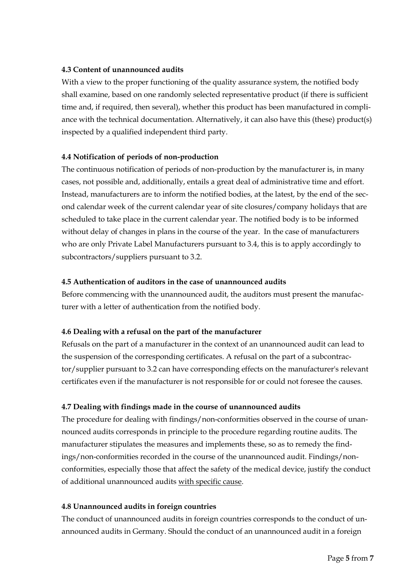#### **4.3 Content of unannounced audits**

With a view to the proper functioning of the quality assurance system, the notified body shall examine, based on one randomly selected representative product (if there is sufficient time and, if required, then several), whether this product has been manufactured in compliance with the technical documentation. Alternatively, it can also have this (these) product(s) inspected by a qualified independent third party.

#### **4.4 Notification of periods of non-production**

The continuous notification of periods of non-production by the manufacturer is, in many cases, not possible and, additionally, entails a great deal of administrative time and effort. Instead, manufacturers are to inform the notified bodies, at the latest, by the end of the second calendar week of the current calendar year of site closures/company holidays that are scheduled to take place in the current calendar year. The notified body is to be informed without delay of changes in plans in the course of the year. In the case of manufacturers who are only Private Label Manufacturers pursuant to 3.4, this is to apply accordingly to subcontractors/suppliers pursuant to 3.2.

#### **4.5 Authentication of auditors in the case of unannounced audits**

Before commencing with the unannounced audit, the auditors must present the manufacturer with a letter of authentication from the notified body.

## **4.6 Dealing with a refusal on the part of the manufacturer**

Refusals on the part of a manufacturer in the context of an unannounced audit can lead to the suspension of the corresponding certificates. A refusal on the part of a subcontractor/supplier pursuant to 3.2 can have corresponding effects on the manufacturer's relevant certificates even if the manufacturer is not responsible for or could not foresee the causes.

## **4.7 Dealing with findings made in the course of unannounced audits**

The procedure for dealing with findings/non-conformities observed in the course of unannounced audits corresponds in principle to the procedure regarding routine audits. The manufacturer stipulates the measures and implements these, so as to remedy the findings/non-conformities recorded in the course of the unannounced audit. Findings/nonconformities, especially those that affect the safety of the medical device, justify the conduct of additional unannounced audits with specific cause.

#### **4.8 Unannounced audits in foreign countries**

The conduct of unannounced audits in foreign countries corresponds to the conduct of unannounced audits in Germany. Should the conduct of an unannounced audit in a foreign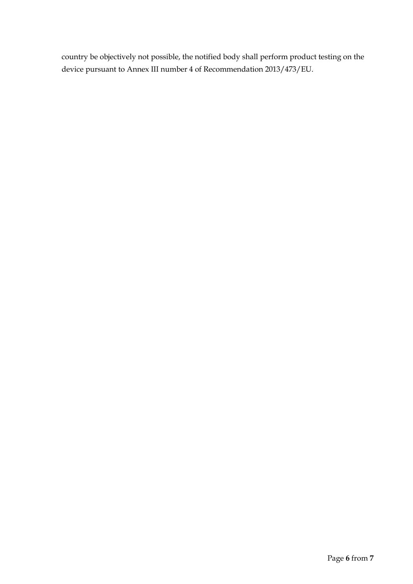country be objectively not possible, the notified body shall perform product testing on the device pursuant to Annex III number 4 of Recommendation 2013/473/EU.